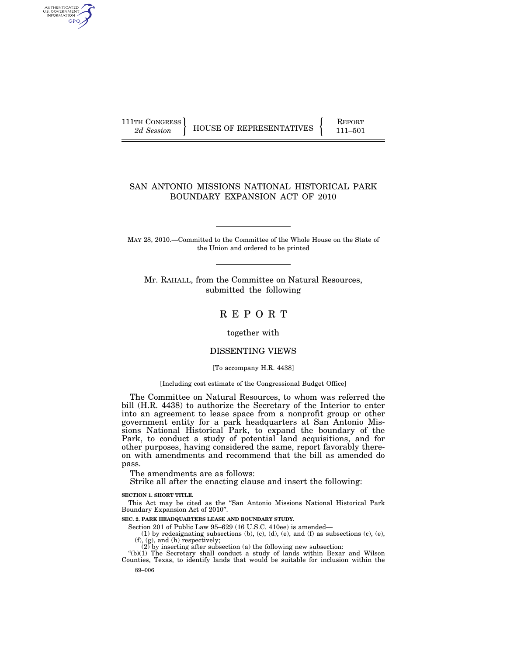AUTHENTICATED<br>U.S. GOVERNMENT<br>INFORMATION **GPO** 

111TH CONGRESS HOUSE OF REPRESENTATIVES FEPORT 111-501

# SAN ANTONIO MISSIONS NATIONAL HISTORICAL PARK BOUNDARY EXPANSION ACT OF 2010

MAY 28, 2010.—Committed to the Committee of the Whole House on the State of the Union and ordered to be printed

Mr. RAHALL, from the Committee on Natural Resources, submitted the following

# R E P O R T

# together with

# DISSENTING VIEWS

# [To accompany H.R. 4438]

# [Including cost estimate of the Congressional Budget Office]

The Committee on Natural Resources, to whom was referred the bill (H.R. 4438) to authorize the Secretary of the Interior to enter into an agreement to lease space from a nonprofit group or other government entity for a park headquarters at San Antonio Missions National Historical Park, to expand the boundary of the Park, to conduct a study of potential land acquisitions, and for other purposes, having considered the same, report favorably thereon with amendments and recommend that the bill as amended do pass.

The amendments are as follows:

Strike all after the enacting clause and insert the following:

#### **SECTION 1. SHORT TITLE.**

This Act may be cited as the ''San Antonio Missions National Historical Park Boundary Expansion Act of 2010''.

**SEC. 2. PARK HEADQUARTERS LEASE AND BOUNDARY STUDY.** 

Section 201 of Public Law 95–629 (16 U.S.C. 410ee) is amended—

(1) by redesignating subsections (b), (c), (d), (e), and (f) as subsections (c), (e), (f), (g), and (h) respectively; (2) by inserting after subsection (a) the following new subsection:

89–006  $*(b)(1)$  The Secretary shall conduct a study of lands within Bexar and Wilson Counties, Texas, to identify lands that would be suitable for inclusion within the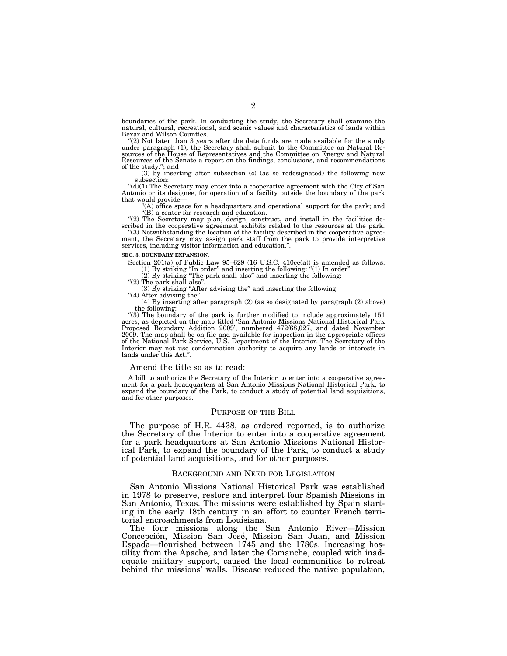boundaries of the park. In conducting the study, the Secretary shall examine the natural, cultural, recreational, and scenic values and characteristics of lands within Bexar and Wilson Counties.

''(2) Not later than 3 years after the date funds are made available for the study under paragraph (1), the Secretary shall submit to the Committee on Natural Resources of the House of Representatives and the Committee on Energy and Natural Resources of the Senate a report on the findings, conclusions, and recommendations

of the study.''; and (3) by inserting after subsection (c) (as so redesignated) the following new subsection:

 $"(d)(1)$  The Secretary may enter into a cooperative agreement with the City of San Antonio or its designee, for operation of a facility outside the boundary of the park that would provide—

(A) office space for a headquarters and operational support for the park; and ''(B) a center for research and education.

''(2) The Secretary may plan, design, construct, and install in the facilities described in the cooperative agreement exhibits related to the resources at the park.

''(3) Notwithstanding the location of the facility described in the cooperative agreement, the Secretary may assign park staff from the park to provide interpretive services, including visitor information and education.''.

#### **SEC. 3. BOUNDARY EXPANSION.**

Section 201(a) of Public Law 95-629 (16 U.S.C. 410ee(a)) is amended as follows:<br>
(1) By striking "In order" and inserting the following: "(1) In order".<br>
(2) By striking "The park shall also" and inserting the following:<br>

 $(3)$  By striking "After advising the" and inserting the following:

''(4) After advising the''.

(4) By inserting after paragraph (2) (as so designated by paragraph (2) above) the following:

''(3) The boundary of the park is further modified to include approximately 151 acres, as depicted on the map titled 'San Antonio Missions National Historical Park Proposed Boundary Addition 2009', numbered 472/68,027, and dated November 2009. The map shall be on file and available for inspection in the appropriate offices of the National Park Service, U.S. Department of the Interior. The Secretary of the Interior may not use condemnation authority to acquire any lands or interests in lands under this Act.''.

#### Amend the title so as to read:

A bill to authorize the Secretary of the Interior to enter into a cooperative agreement for a park headquarters at San Antonio Missions National Historical Park, to expand the boundary of the Park, to conduct a study of potential land acquisitions, and for other purposes.

#### PURPOSE OF THE BILL

The purpose of H.R. 4438, as ordered reported, is to authorize the Secretary of the Interior to enter into a cooperative agreement for a park headquarters at San Antonio Missions National Historical Park, to expand the boundary of the Park, to conduct a study of potential land acquisitions, and for other purposes.

#### BACKGROUND AND NEED FOR LEGISLATION

San Antonio Missions National Historical Park was established in 1978 to preserve, restore and interpret four Spanish Missions in San Antonio, Texas. The missions were established by Spain starting in the early 18th century in an effort to counter French territorial encroachments from Louisiana.

The four missions along the San Antonio River—Mission Concepción, Mission San José, Mission San Juan, and Mission Espada—flourished between 1745 and the 1780s. Increasing hostility from the Apache, and later the Comanche, coupled with inadequate military support, caused the local communities to retreat behind the missions' walls. Disease reduced the native population,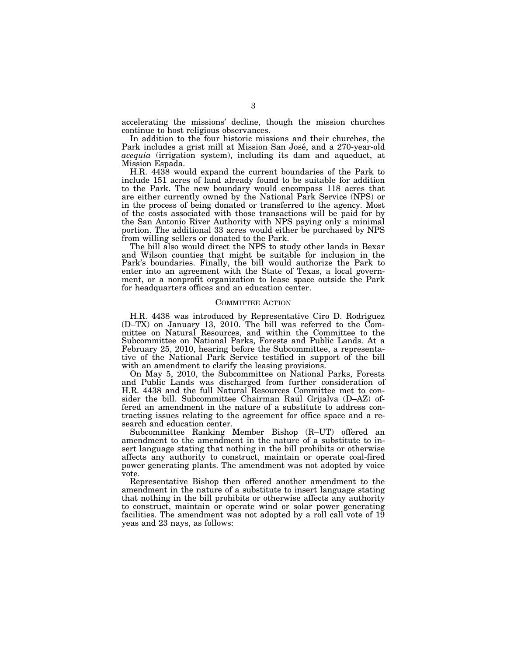accelerating the missions' decline, though the mission churches continue to host religious observances.

In addition to the four historic missions and their churches, the Park includes a grist mill at Mission San José, and a 270-year-old *acequia* (irrigation system), including its dam and aqueduct, at Mission Espada.

H.R. 4438 would expand the current boundaries of the Park to include 151 acres of land already found to be suitable for addition to the Park. The new boundary would encompass 118 acres that are either currently owned by the National Park Service (NPS) or in the process of being donated or transferred to the agency. Most of the costs associated with those transactions will be paid for by the San Antonio River Authority with NPS paying only a minimal portion. The additional 33 acres would either be purchased by NPS from willing sellers or donated to the Park.

The bill also would direct the NPS to study other lands in Bexar and Wilson counties that might be suitable for inclusion in the Park's boundaries. Finally, the bill would authorize the Park to enter into an agreement with the State of Texas, a local government, or a nonprofit organization to lease space outside the Park for headquarters offices and an education center.

#### COMMITTEE ACTION

H.R. 4438 was introduced by Representative Ciro D. Rodriguez (D–TX) on January 13, 2010. The bill was referred to the Committee on Natural Resources, and within the Committee to the Subcommittee on National Parks, Forests and Public Lands. At a February 25, 2010, hearing before the Subcommittee, a representative of the National Park Service testified in support of the bill with an amendment to clarify the leasing provisions.

On May 5, 2010, the Subcommittee on National Parks, Forests and Public Lands was discharged from further consideration of H.R. 4438 and the full Natural Resources Committee met to consider the bill. Subcommittee Chairman Raúl Grijalva (D–AZ) offered an amendment in the nature of a substitute to address contracting issues relating to the agreement for office space and a research and education center.

Subcommittee Ranking Member Bishop (R–UT) offered an amendment to the amendment in the nature of a substitute to insert language stating that nothing in the bill prohibits or otherwise affects any authority to construct, maintain or operate coal-fired power generating plants. The amendment was not adopted by voice vote.

Representative Bishop then offered another amendment to the amendment in the nature of a substitute to insert language stating that nothing in the bill prohibits or otherwise affects any authority to construct, maintain or operate wind or solar power generating facilities. The amendment was not adopted by a roll call vote of 19 yeas and 23 nays, as follows: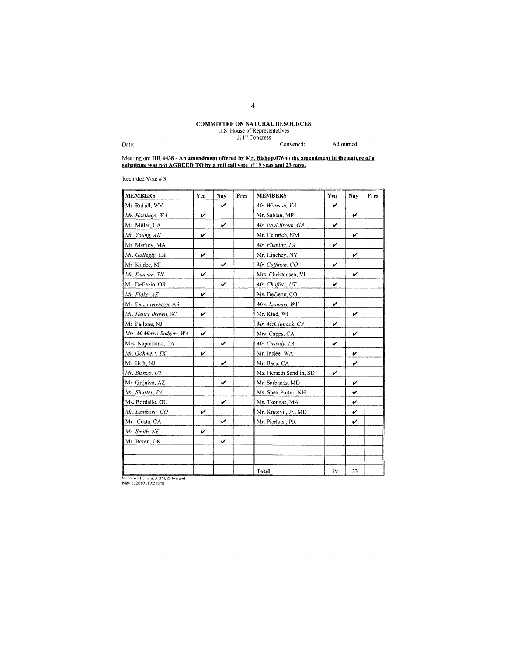# **COMMITTEE ON NATURAL RESOURCES**<br>U.S. House of Representatives<br>111<sup>th</sup> Congress

Convened:

Adjourned:

Date:

Meeting on: HR 4438 - An amendment offered by Mr. Bishop.076 to the amendment in the nature of a substitute was not AGREED TO by a roll call vote of 19 yeas and 23 nays.

Recorded Vote #3

| <b>MEMBERS</b>            | Yea | Nay | Pres | <b>MEMBERS</b>          | Yea | Nav | Pres |
|---------------------------|-----|-----|------|-------------------------|-----|-----|------|
| Mr. Rahall, WV            |     | V   |      | Mr. Wittman, VA         | ν   |     |      |
| Mr. Hastings, WA          | V   |     |      | Mr. Sablan, MP          |     | V   |      |
| Mr. Miller, CA            |     | V   |      | Mr. Paul Broun, GA      | V   |     |      |
| Mr. Young, AK             | V   |     |      | Mr. Heinrich, NM        |     | V   |      |
| Mr. Markey, MA            |     |     |      | Mr. Fleming, LA         | V   |     |      |
| Mr. Gallegly, CA          | v   |     |      | Mr. Hinchey, NY         |     | v   |      |
| Mr. Kildee, MI            |     | V   |      | Mr. Coffman, CO         | V   |     |      |
| Mr. Duncan, TN            | v   |     |      | Mrs. Christensen, VI    |     | V   |      |
| Mr. DeFazio, OR           |     | v   |      | Mr. Chaffetz, UT        | V   |     |      |
| Mr. Flake, AZ             | V   |     |      | Ms. DeGette, CO         |     |     |      |
| Mr. Faleomavaega, AS      |     |     |      | Mrs. Lummis, WY         | V   |     |      |
| Mr. Henry Brown, SC       | V   |     |      | Mr. Kind, WI            |     | V   |      |
| Mr. Pallone, NJ           |     |     |      | Mr. McClintock, CA      | v   |     |      |
| Mrs. McMorris Rodgers, WA | V   |     |      | Mrs. Capps, CA          |     | V   |      |
| Mrs. Napolitano, CA       |     | v   |      | Mr. Cassidy, LA         | v   |     |      |
| Mr. Gohmert, TX           | v   |     |      | Mr. Inslee, WA          |     | v   |      |
| Mr. Holt, NJ              |     | v   |      | Mr. Baca, CA            |     | V   |      |
| Mr. Bishop, UT            |     |     |      | Ms. Herseth Sandlin, SD | V   |     |      |
| Mr. Grijalva, AZ          |     | V   |      | Mr. Sarbanes, MD        |     | v   |      |
| Mr. Shuster, PA           |     |     |      | Ms. Shea-Porter, NH     |     | v   |      |
| Ms. Bordallo, GU          |     | ν   |      | Ms. Tsongas, MA         |     | V   |      |
| Mr. Lamborn, CO           | V   |     |      | Mr. Kratovil, Jr., MD   |     | V   |      |
| Mr. Costa, CA             |     | v   |      | Mr. Pierluisi, PR       |     | V   |      |
| Mr. Smith, NE             | V   |     |      |                         |     |     |      |
| Mr. Boren, OK             |     | V   |      |                         |     |     |      |
|                           |     |     |      |                         |     |     |      |
|                           |     |     |      |                         |     |     |      |
|                           |     |     |      | <b>Total</b>            | 19  | 23  |      |

Markups -  $1/3$  to meet (16), 25 to report<br>May 6, 2010 (10:51am)

4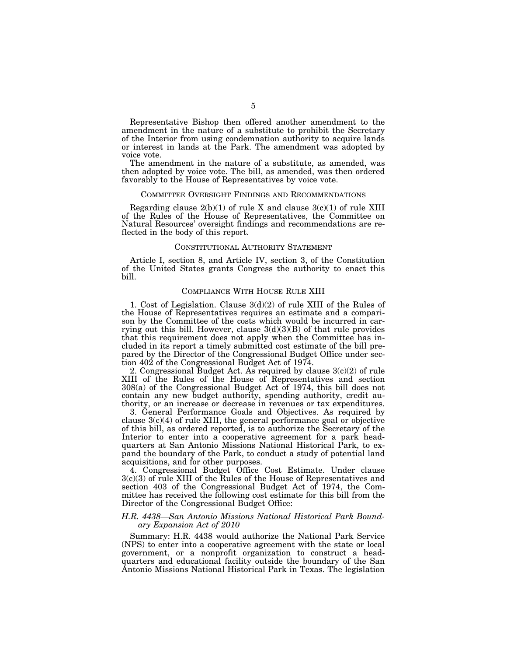Representative Bishop then offered another amendment to the amendment in the nature of a substitute to prohibit the Secretary of the Interior from using condemnation authority to acquire lands or interest in lands at the Park. The amendment was adopted by voice vote.

The amendment in the nature of a substitute, as amended, was then adopted by voice vote. The bill, as amended, was then ordered favorably to the House of Representatives by voice vote.

#### COMMITTEE OVERSIGHT FINDINGS AND RECOMMENDATIONS

Regarding clause  $2(b)(1)$  of rule X and clause  $3(c)(1)$  of rule XIII of the Rules of the House of Representatives, the Committee on Natural Resources' oversight findings and recommendations are reflected in the body of this report.

#### CONSTITUTIONAL AUTHORITY STATEMENT

Article I, section 8, and Article IV, section 3, of the Constitution of the United States grants Congress the authority to enact this bill.

# COMPLIANCE WITH HOUSE RULE XIII

1. Cost of Legislation. Clause 3(d)(2) of rule XIII of the Rules of the House of Representatives requires an estimate and a comparison by the Committee of the costs which would be incurred in carrying out this bill. However, clause  $3(d)(3)(B)$  of that rule provides that this requirement does not apply when the Committee has included in its report a timely submitted cost estimate of the bill prepared by the Director of the Congressional Budget Office under section 402 of the Congressional Budget Act of 1974.

2. Congressional Budget Act. As required by clause  $3(c)(2)$  of rule XIII of the Rules of the House of Representatives and section 308(a) of the Congressional Budget Act of 1974, this bill does not contain any new budget authority, spending authority, credit authority, or an increase or decrease in revenues or tax expenditures.

3. General Performance Goals and Objectives. As required by clause  $3(c)(4)$  of rule XIII, the general performance goal or objective of this bill, as ordered reported, is to authorize the Secretary of the Interior to enter into a cooperative agreement for a park headquarters at San Antonio Missions National Historical Park, to expand the boundary of the Park, to conduct a study of potential land acquisitions, and for other purposes.

4. Congressional Budget Office Cost Estimate. Under clause 3(c)(3) of rule XIII of the Rules of the House of Representatives and section 403 of the Congressional Budget Act of 1974, the Committee has received the following cost estimate for this bill from the Director of the Congressional Budget Office:

# *H.R. 4438—San Antonio Missions National Historical Park Boundary Expansion Act of 2010*

Summary: H.R. 4438 would authorize the National Park Service (NPS) to enter into a cooperative agreement with the state or local government, or a nonprofit organization to construct a headquarters and educational facility outside the boundary of the San Antonio Missions National Historical Park in Texas. The legislation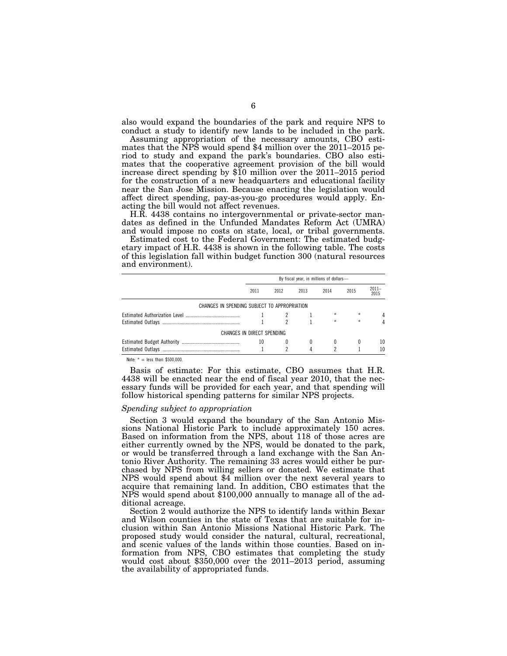also would expand the boundaries of the park and require NPS to conduct a study to identify new lands to be included in the park.

Assuming appropriation of the necessary amounts, CBO estimates that the  $\overline{NP\S}$  would spend \$4 million over the 2011–2015 period to study and expand the park's boundaries. CBO also estimates that the cooperative agreement provision of the bill would increase direct spending by \$10 million over the 2011–2015 period for the construction of a new headquarters and educational facility near the San Jose Mission. Because enacting the legislation would affect direct spending, pay-as-you-go procedures would apply. Enacting the bill would not affect revenues.

H.R. 4438 contains no intergovernmental or private-sector mandates as defined in the Unfunded Mandates Reform Act (UMRA) and would impose no costs on state, local, or tribal governments.

Estimated cost to the Federal Government: The estimated budgetary impact of H.R. 4438 is shown in the following table. The costs of this legislation fall within budget function 300 (natural resources and environment).

|                                              | By fiscal year, in millions of dollars- |      |      |         |         |                  |  |  |  |  |  |
|----------------------------------------------|-----------------------------------------|------|------|---------|---------|------------------|--|--|--|--|--|
|                                              | 2011                                    | 2012 | 2013 | 2014    | 2015    | $2011 -$<br>2015 |  |  |  |  |  |
| CHANGES IN SPENDING SUBJECT TO APPROPRIATION |                                         |      |      |         |         |                  |  |  |  |  |  |
|                                              |                                         |      |      | $\star$ | $\star$ | 4                |  |  |  |  |  |
|                                              |                                         |      |      | $\star$ | ÷       |                  |  |  |  |  |  |
| CHANGES IN DIRECT SPENDING                   |                                         |      |      |         |         |                  |  |  |  |  |  |
|                                              | 10                                      |      |      | 0       |         | 10               |  |  |  |  |  |
|                                              |                                         |      | 4    |         |         | 10               |  |  |  |  |  |

Note:  $* =$  less than \$500,000

Basis of estimate: For this estimate, CBO assumes that H.R. 4438 will be enacted near the end of fiscal year 2010, that the necessary funds will be provided for each year, and that spending will follow historical spending patterns for similar NPS projects.

#### *Spending subject to appropriation*

Section 3 would expand the boundary of the San Antonio Missions National Historic Park to include approximately 150 acres. Based on information from the NPS, about 118 of those acres are either currently owned by the NPS, would be donated to the park, or would be transferred through a land exchange with the San Antonio River Authority. The remaining 33 acres would either be purchased by NPS from willing sellers or donated. We estimate that NPS would spend about \$4 million over the next several years to acquire that remaining land. In addition, CBO estimates that the NPS would spend about \$100,000 annually to manage all of the additional acreage.

Section 2 would authorize the NPS to identify lands within Bexar and Wilson counties in the state of Texas that are suitable for inclusion within San Antonio Missions National Historic Park. The proposed study would consider the natural, cultural, recreational, and scenic values of the lands within those counties. Based on information from NPS, CBO estimates that completing the study would cost about  $$350,000$  over the  $2011-2013$  period, assuming the availability of appropriated funds.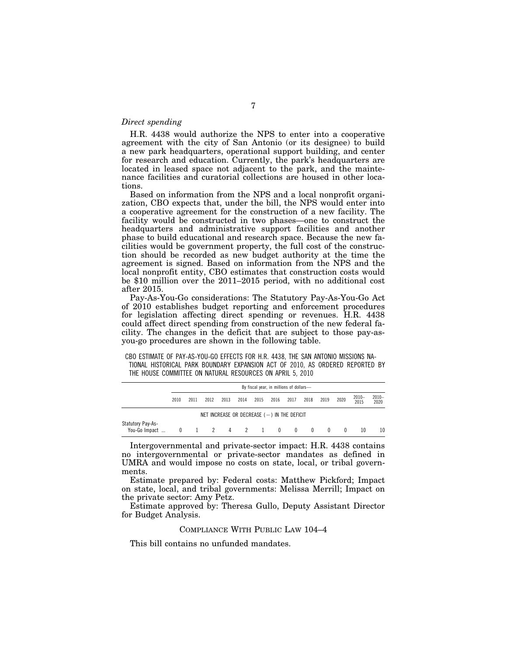# *Direct spending*

H.R. 4438 would authorize the NPS to enter into a cooperative agreement with the city of San Antonio (or its designee) to build a new park headquarters, operational support building, and center for research and education. Currently, the park's headquarters are located in leased space not adjacent to the park, and the maintenance facilities and curatorial collections are housed in other locations.

Based on information from the NPS and a local nonprofit organization, CBO expects that, under the bill, the NPS would enter into a cooperative agreement for the construction of a new facility. The facility would be constructed in two phases—one to construct the headquarters and administrative support facilities and another phase to build educational and research space. Because the new facilities would be government property, the full cost of the construction should be recorded as new budget authority at the time the agreement is signed. Based on information from the NPS and the local nonprofit entity, CBO estimates that construction costs would be \$10 million over the 2011–2015 period, with no additional cost after 2015.

Pay-As-You-Go considerations: The Statutory Pay-As-You-Go Act of 2010 establishes budget reporting and enforcement procedures for legislation affecting direct spending or revenues. H.R. 4438 could affect direct spending from construction of the new federal facility. The changes in the deficit that are subject to those pay-asyou-go procedures are shown in the following table.

CBO ESTIMATE OF PAY-AS-YOU-GO EFFECTS FOR H.R. 4438, THE SAN ANTONIO MISSIONS NA-TIONAL HISTORICAL PARK BOUNDARY EXPANSION ACT OF 2010, AS ORDERED REPORTED BY THE HOUSE COMMITTEE ON NATURAL RESOURCES ON APRIL 5, 2010

|                                                  | By fiscal year, in millions of dollars- |      |               |      |      |      |      |      |                |              |          |                  |                  |
|--------------------------------------------------|-----------------------------------------|------|---------------|------|------|------|------|------|----------------|--------------|----------|------------------|------------------|
|                                                  | 2010                                    | 2011 | 2012          | 2013 | 2014 | 2015 | 2016 | 2017 | 2018           | 2019         | 2020     | $2010 -$<br>2015 | $2010 -$<br>2020 |
| NET INCREASE OR DECREASE $($ $ )$ in the deficit |                                         |      |               |      |      |      |      |      |                |              |          |                  |                  |
| Statutory Pay-As-<br>You-Go Impact               | $\mathbf{0}$                            |      | 1 2 4 2 1 0 0 |      |      |      |      |      | $\overline{0}$ | $\mathbf{0}$ | $\Omega$ | 10               | 10 <sup>°</sup>  |

Intergovernmental and private-sector impact: H.R. 4438 contains no intergovernmental or private-sector mandates as defined in UMRA and would impose no costs on state, local, or tribal governments.

Estimate prepared by: Federal costs: Matthew Pickford; Impact on state, local, and tribal governments: Melissa Merrill; Impact on the private sector: Amy Petz.

Estimate approved by: Theresa Gullo, Deputy Assistant Director for Budget Analysis.

# COMPLIANCE WITH PUBLIC LAW 104–4

This bill contains no unfunded mandates.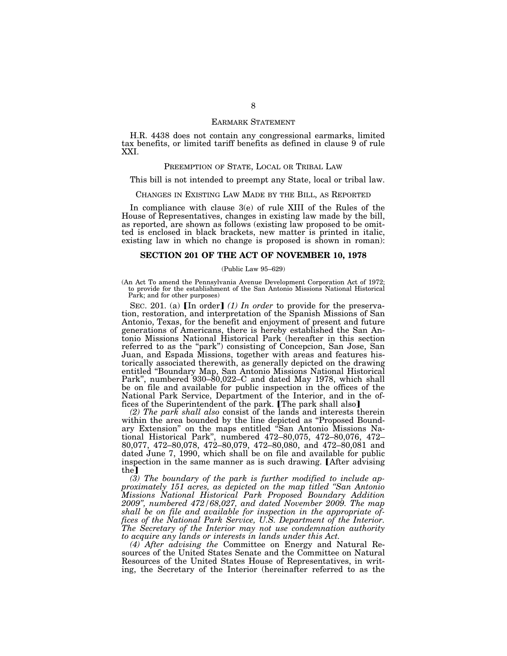## EARMARK STATEMENT

H.R. 4438 does not contain any congressional earmarks, limited tax benefits, or limited tariff benefits as defined in clause 9 of rule XXI.

# PREEMPTION OF STATE, LOCAL OR TRIBAL LAW

This bill is not intended to preempt any State, local or tribal law.

### CHANGES IN EXISTING LAW MADE BY THE BILL, AS REPORTED

In compliance with clause 3(e) of rule XIII of the Rules of the House of Representatives, changes in existing law made by the bill, as reported, are shown as follows (existing law proposed to be omitted is enclosed in black brackets, new matter is printed in italic, existing law in which no change is proposed is shown in roman):

# **SECTION 201 OF THE ACT OF NOVEMBER 10, 1978**

#### (Public Law 95–629)

(An Act To amend the Pennsylvania Avenue Development Corporation Act of 1972; to provide for the establishment of the San Antonio Missions National Historical Park; and for other purposes)

SEC. 201. (a) [In order] (1) In order to provide for the preservation, restoration, and interpretation of the Spanish Missions of San Antonio, Texas, for the benefit and enjoyment of present and future generations of Americans, there is hereby established the San Antonio Missions National Historical Park (hereafter in this section referred to as the "park") consisting of Concepcion, San Jose, San Juan, and Espada Missions, together with areas and features historically associated therewith, as generally depicted on the drawing entitled ''Boundary Map, San Antonio Missions National Historical Park'', numbered 930–80,022–C and dated May 1978, which shall be on file and available for public inspection in the offices of the National Park Service, Department of the Interior, and in the offices of the Superintendent of the park. The park shall also

*(2) The park shall also* consist of the lands and interests therein within the area bounded by the line depicted as ''Proposed Boundary Extension'' on the maps entitled ''San Antonio Missions National Historical Park'', numbered 472–80,075, 472–80,076, 472– 80,077, 472–80,078, 472–80,079, 472–80,080, and 472–80,081 and dated June 7, 1990, which shall be on file and available for public inspection in the same manner as is such drawing. [After advising  $the$ ]

*(3) The boundary of the park is further modified to include approximately 151 acres, as depicted on the map titled ''San Antonio Missions National Historical Park Proposed Boundary Addition 2009'', numbered 472/68,027, and dated November 2009. The map shall be on file and available for inspection in the appropriate offices of the National Park Service, U.S. Department of the Interior. The Secretary of the Interior may not use condemnation authority to acquire any lands or interests in lands under this Act.* 

*(4) After advising the* Committee on Energy and Natural Resources of the United States Senate and the Committee on Natural Resources of the United States House of Representatives, in writing, the Secretary of the Interior (hereinafter referred to as the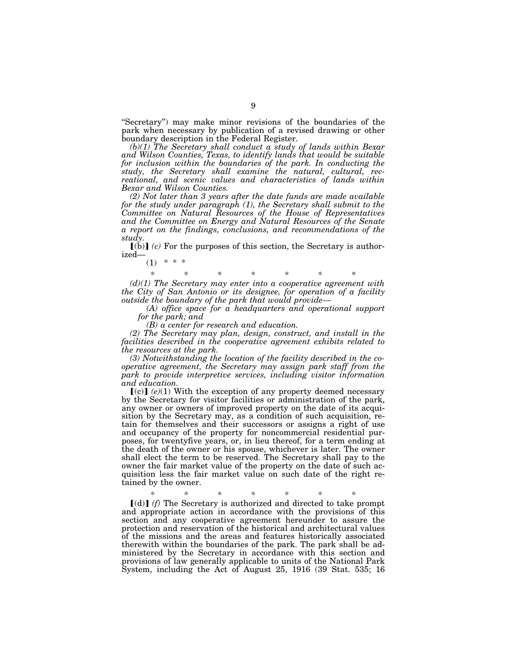''Secretary'') may make minor revisions of the boundaries of the park when necessary by publication of a revised drawing or other boundary description in the Federal Register.

*(b)(1) The Secretary shall conduct a study of lands within Bexar and Wilson Counties, Texas, to identify lands that would be suitable*  for inclusion within the boundaries of the park. In conducting the *study, the Secretary shall examine the natural, cultural, recreational, and scenic values and characteristics of lands within Bexar and Wilson Counties.* 

*(2) Not later than 3 years after the date funds are made available*  for the study under paragraph (1), the Secretary shall submit to the *Committee on Natural Resources of the House of Representatives and the Committee on Energy and Natural Resources of the Senate a report on the findings, conclusions, and recommendations of the study.* 

 $[6]$  *(c)* For the purposes of this section, the Secretary is authorized—  $(1)$  \* \* \*

\* \* \* \* \* \* \* *(d)(1) The Secretary may enter into a cooperative agreement with the City of San Antonio or its designee, for operation of a facility outside the boundary of the park that would provide—* 

*(A) office space for a headquarters and operational support for the park; and* 

*(B) a center for research and education.* 

*(2) The Secretary may plan, design, construct, and install in the facilities described in the cooperative agreement exhibits related to the resources at the park.* 

*(3) Notwithstanding the location of the facility described in the cooperative agreement, the Secretary may assign park staff from the park to provide interpretive services, including visitor information and education.* 

 $\lceil (c) \rceil$  (e)(1) With the exception of any property deemed necessary by the Secretary for visitor facilities or administration of the park, any owner or owners of improved property on the date of its acquisition by the Secretary may, as a condition of such acquisition, retain for themselves and their successors or assigns a right of use and occupancy of the property for noncommercial residential purposes, for twentyfive years, or, in lieu thereof, for a term ending at the death of the owner or his spouse, whichever is later. The owner shall elect the term to be reserved. The Secretary shall pay to the owner the fair market value of the property on the date of such acquisition less the fair market value on such date of the right retained by the owner.

\* \* \* \* \* \* \*

 $[(d)]$  *(f)* The Secretary is authorized and directed to take prompt and appropriate action in accordance with the provisions of this section and any cooperative agreement hereunder to assure the protection and reservation of the historical and architectural values of the missions and the areas and features historically associated therewith within the boundaries of the park. The park shall be administered by the Secretary in accordance with this section and provisions of law generally applicable to units of the National Park System, including the Act of August 25, 1916 (39 Stat. 535; 16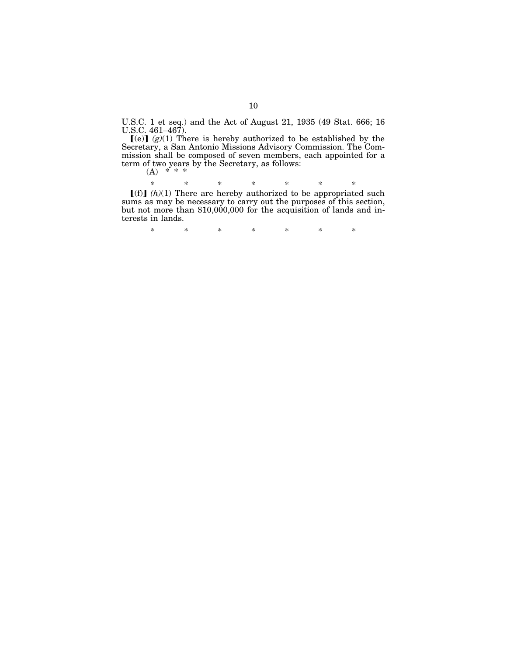U.S.C. 1 et seq.) and the Act of August 21, 1935 (49 Stat. 666; 16

U.S.C. 461–467).<br> $[(e)] (g)(1)$  There is hereby authorized to be established by the Secretary, a San Antonio Missions Advisory Commission. The Commission shall be composed of seven members, each appointed for a term of two years by the Secretary, as follows:

(A) \* \* \*

 $*(f)$   $(h)(1)$  There are hereby authorized to be appropriated such

sums as may be necessary to carry out the purposes of this section, but not more than \$10,000,000 for the acquisition of lands and interests in lands.

\* \* \* \* \* \* \*